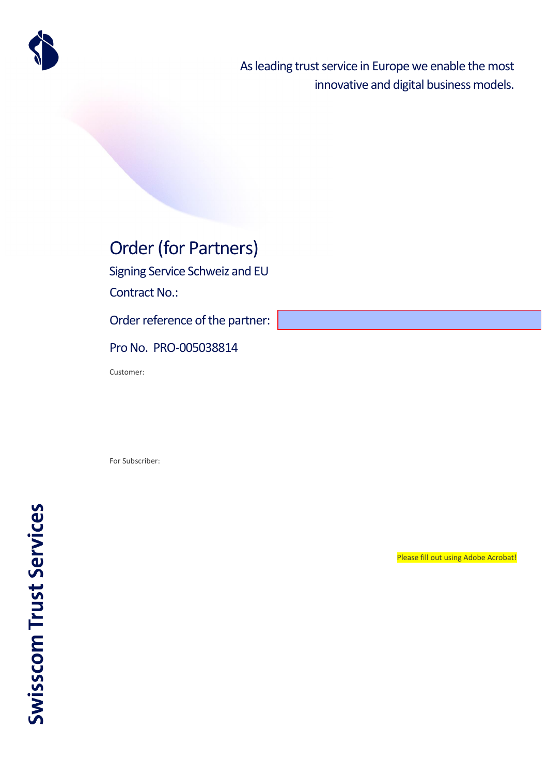

As leading trust service in Europe we enable the most innovative and digital business models.

# Order (for Partners)

Signing Service Schweiz and EU

Contract No.:

Order reference of the partner:

### Pro No. PRO-005038814

Customer:

For Subscriber:

Please fill out using Adobe Acrobat!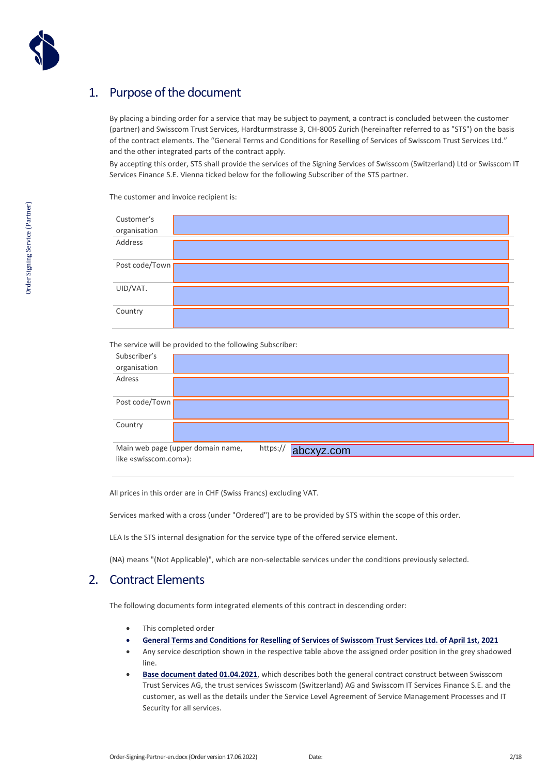

### 1. Purpose of the document

By placing a binding order for a service that may be subject to payment, a contract is concluded between the customer (partner) and Swisscom Trust Services, Hardturmstrasse 3, CH-8005 Zurich (hereinafter referred to as "STS") on the basis of the contract elements. The "General Terms and Conditions for Reselling of Services [of Swisscom Trust Services Ltd."](https://documents.swisscom.com/product/filestore/lib/867bbe8e-dd2d-43ad-9fa0-ef92cdff8d50/gtc_reseller_sts-en.pdf?idxme=pex-search)  and the other integrated parts of the contract apply.

By accepting this order, STS shall provide the services of the Signing Services of Swisscom (Switzerland) Ltd or Swisscom IT Services Finance S.E. Vienna ticked below for the following Subscriber of the STS partner.

Customer's organisation Address Post code/Town UID/VAT. Country

The customer and invoice recipient is:

The service will be provided to the following Subscriber:

| Subscriber's           |                                   |          |            |
|------------------------|-----------------------------------|----------|------------|
| organisation<br>Adress |                                   |          |            |
|                        |                                   |          |            |
| Post code/Town         |                                   |          |            |
| Country                |                                   |          |            |
| like «swisscom.com»):  | Main web page (upper domain name, | https:// | abcxyz.com |

All prices in this order are in CHF (Swiss Francs) excluding VAT.

Services marked with a cross (under "Ordered") are to be provided by STS within the scope of this order.

LEA Is the STS internal designation for the service type of the offered service element.

(NA) means "(Not Applicable)", which are non-selectable services under the conditions previously selected.

### 2. Contract Elements

The following documents form integrated elements of this contract in descending order:

- This completed order
- **[General Terms and Conditions for Reselling of Services of Swisscom Trust Services Ltd. of April 1st, 2021](https://documents.swisscom.com/product/filestore/lib/867bbe8e-dd2d-43ad-9fa0-ef92cdff8d50/gtc_reseller_sts-en.pdf?idxme=pex-search)**
- Any service description shown in the respective table above the assigned order position in the grey shadowed line.
- **[Base document dated 01.04.2021](https://documents.swisscom.com/product/filestore/lib/3f96dfd7-2b32-4500-9cc1-e9a8aa8754c2/basisdoc-en.pdf?idxme=pex-search)**, which describes both the general contract construct between Swisscom Trust Services AG, the trust services Swisscom (Switzerland) AG and Swisscom IT Services Finance S.E. and the customer, as well as the details under the Service Level Agreement of Service Management Processes and IT Security for all services.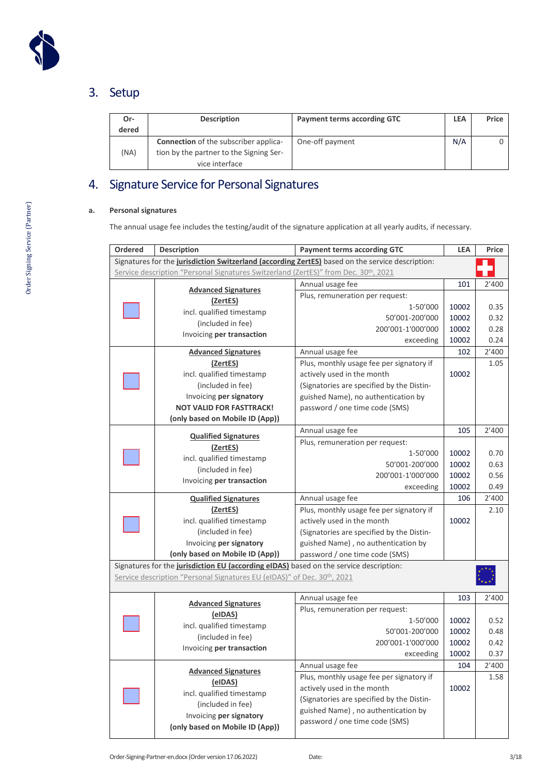

## 3. Setup

| Or-<br>dered | <b>Description</b>                                                                                        | <b>Payment terms according GTC</b> | <b>LEA</b> | Price |
|--------------|-----------------------------------------------------------------------------------------------------------|------------------------------------|------------|-------|
| (NA)         | <b>Connection</b> of the subscriber applica-<br>tion by the partner to the Signing Ser-<br>vice interface | One-off payment                    | N/A        |       |

## 4. Signature Service for Personal Signatures

### **a. Personal signatures**

The annual usage fee includes the testing/audit of the signature application at all yearly audits, if necessary.

| <b>Ordered</b> | <b>Description</b><br><b>Payment terms according GTC</b>                               |                                                                                                  | <b>LEA</b> | Price |
|----------------|----------------------------------------------------------------------------------------|--------------------------------------------------------------------------------------------------|------------|-------|
|                |                                                                                        | Signatures for the jurisdiction Switzerland (according ZertES) based on the service description: |            |       |
|                | Service description "Personal Signatures Switzerland (ZertES)" from Dec. 30th, 2021    |                                                                                                  |            |       |
|                | <b>Advanced Signatures</b>                                                             | Annual usage fee                                                                                 | 101        | 2'400 |
|                | (ZertES)                                                                               | Plus, remuneration per request:                                                                  |            |       |
|                | incl. qualified timestamp                                                              | 1-50'000                                                                                         | 10002      | 0.35  |
|                | (included in fee)                                                                      | 50'001-200'000                                                                                   | 10002      | 0.32  |
|                | Invoicing per transaction                                                              | 200'001-1'000'000                                                                                | 10002      | 0.28  |
|                |                                                                                        | exceeding                                                                                        | 10002      | 0.24  |
|                | <b>Advanced Signatures</b>                                                             | Annual usage fee                                                                                 | 102        | 2'400 |
|                | (ZertES)                                                                               | Plus, monthly usage fee per signatory if                                                         |            | 1.05  |
|                | incl. qualified timestamp                                                              | actively used in the month                                                                       | 10002      |       |
|                | (included in fee)                                                                      | (Signatories are specified by the Distin-                                                        |            |       |
|                | Invoicing per signatory                                                                | guished Name), no authentication by                                                              |            |       |
|                | <b>NOT VALID FOR FASTTRACK!</b>                                                        | password / one time code (SMS)                                                                   |            |       |
|                | (only based on Mobile ID (App))                                                        |                                                                                                  |            |       |
|                | <b>Qualified Signatures</b>                                                            | Annual usage fee                                                                                 | 105        | 2'400 |
|                | (ZertES)                                                                               | Plus, remuneration per request:                                                                  |            |       |
|                | incl. qualified timestamp                                                              | 1-50'000                                                                                         | 10002      | 0.70  |
|                | (included in fee)                                                                      | 50'001-200'000                                                                                   | 10002      | 0.63  |
|                | Invoicing per transaction                                                              | 200'001-1'000'000                                                                                | 10002      | 0.56  |
|                |                                                                                        | exceeding                                                                                        | 10002      | 0.49  |
|                | <b>Qualified Signatures</b>                                                            | Annual usage fee                                                                                 | 106        | 2'400 |
|                | (ZertES)                                                                               | Plus, monthly usage fee per signatory if                                                         |            | 2.10  |
|                | incl. qualified timestamp                                                              | actively used in the month                                                                       | 10002      |       |
|                | (included in fee)                                                                      | (Signatories are specified by the Distin-                                                        |            |       |
|                | Invoicing per signatory                                                                | guished Name), no authentication by                                                              |            |       |
|                | (only based on Mobile ID (App))                                                        | password / one time code (SMS)                                                                   |            |       |
|                | Signatures for the jurisdiction EU (according eIDAS) based on the service description: |                                                                                                  |            |       |
|                | Service description "Personal Signatures EU (eIDAS)" of Dec. 30th, 2021                |                                                                                                  |            |       |
|                |                                                                                        | Annual usage fee                                                                                 | 103        | 2'400 |
|                | <b>Advanced Signatures</b>                                                             | Plus, remuneration per request:                                                                  |            |       |
|                | (eIDAS)                                                                                | 1-50'000                                                                                         | 10002      | 0.52  |
|                | incl. qualified timestamp                                                              | 50'001-200'000                                                                                   | 10002      | 0.48  |
|                | (included in fee)                                                                      | 200'001-1'000'000                                                                                | 10002      | 0.42  |
|                | Invoicing per transaction                                                              | exceeding                                                                                        | 10002      | 0.37  |
|                |                                                                                        | Annual usage fee                                                                                 | 104        | 2'400 |
|                | <b>Advanced Signatures</b>                                                             | Plus, monthly usage fee per signatory if                                                         |            | 1.58  |
|                | (eIDAS)                                                                                | actively used in the month                                                                       | 10002      |       |
|                | incl. qualified timestamp                                                              | (Signatories are specified by the Distin-                                                        |            |       |
|                | (included in fee)                                                                      | guished Name), no authentication by                                                              |            |       |
|                | Invoicing per signatory                                                                | password / one time code (SMS)                                                                   |            |       |
|                | (only based on Mobile ID (App))                                                        |                                                                                                  |            |       |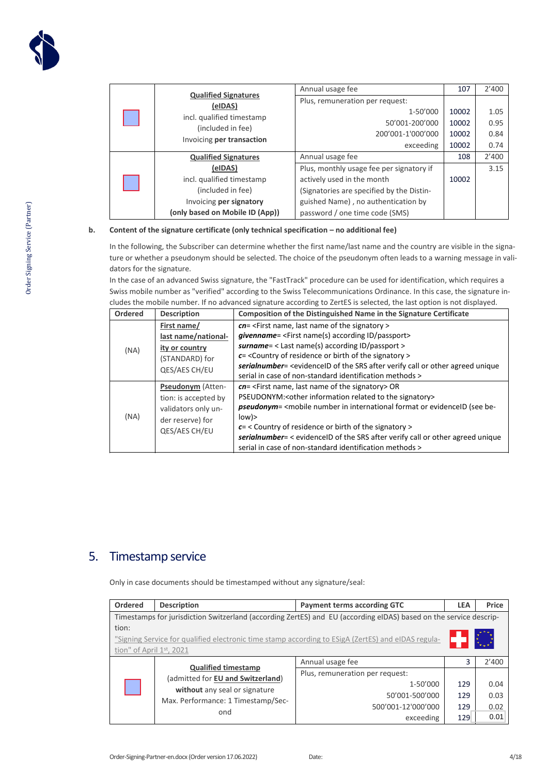|                             | <b>Qualified Signatures</b>                                                 | Annual usage fee                          | 107   | 2'400 |
|-----------------------------|-----------------------------------------------------------------------------|-------------------------------------------|-------|-------|
|                             | (eIDAS)                                                                     | Plus, remuneration per request:           |       |       |
|                             |                                                                             | 1-50'000                                  | 10002 | 1.05  |
|                             | incl. qualified timestamp<br>(included in fee)<br>Invoicing per transaction | 50'001-200'000                            | 10002 | 0.95  |
|                             |                                                                             | 200'001-1'000'000                         | 10002 | 0.84  |
|                             |                                                                             | exceeding                                 | 10002 | 0.74  |
| <b>Qualified Signatures</b> |                                                                             | Annual usage fee                          | 108   | 2'400 |
|                             | (eIDAS)                                                                     | Plus, monthly usage fee per signatory if  |       | 3.15  |
|                             | incl. qualified timestamp                                                   | actively used in the month                | 10002 |       |
|                             | (included in fee)                                                           | (Signatories are specified by the Distin- |       |       |
|                             | Invoicing per signatory                                                     | guished Name), no authentication by       |       |       |
|                             | (only based on Mobile ID (App))                                             | password / one time code (SMS)            |       |       |

#### **b. Content of the signature certificate (only technical specification – no additional fee)**

In the following, the Subscriber can determine whether the first name/last name and the country are visible in the signature or whether a pseudonym should be selected. The choice of the pseudonym often leads to a warning message in validators for the signature.

In the case of an advanced Swiss signature, the "FastTrack" procedure can be used for identification, which requires a Swiss mobile number as "verified" according to the Swiss Telecommunications Ordinance. In this case, the signature includes the mobile number. If no advanced signature according to ZertES is selected, the last option is not displayed.

| Ordered | <b>Description</b>       | Composition of the Distinguished Name in the Signature Certificate                 |
|---------|--------------------------|------------------------------------------------------------------------------------|
|         | First name/              | cn= <first last="" name="" name,="" of="" signatory="" the=""></first>             |
| (NA)    | last name/national-      | givenname= <first according="" id="" name(s)="" passport=""></first>               |
|         | ity or country           | surname= $<$ Last name(s) according ID/passport >                                  |
|         | (STANDARD) for           | $c$ = < Country of residence or birth of the signatory >                           |
|         | QES/AES CH/EU            | serialnumber= < evidenceID of the SRS after verify call or other agreed unique     |
|         |                          | serial in case of non-standard identification methods >                            |
|         | <b>Pseudonym</b> (Atten- | $cn =$ <first last="" name="" name,="" of="" signatory="" the=""> OR</first>       |
|         | tion: is accepted by     | PSEUDONYM:< other information related to the signatory>                            |
|         | validators only un-      | <b>pseudonym</b> = < mobile number in international format or evidence ID (see be- |
| (NA)    | der reserve) for         | low                                                                                |
|         | QES/AES CH/EU            | $c =$ < Country of residence or birth of the signatory >                           |
|         |                          | serialnumber= < evidenceID of the SRS after verify call or other agreed unique     |
|         |                          | serial in case of non-standard identification methods >                            |

### 5. Timestamp service

Only in case documents should be timestamped without any signature/seal:

| Ordered                                                                                            | <b>Description</b>                                                                                                | <b>Payment terms according GTC</b> | <b>LEA</b> | Price |
|----------------------------------------------------------------------------------------------------|-------------------------------------------------------------------------------------------------------------------|------------------------------------|------------|-------|
|                                                                                                    | Timestamps for jurisdiction Switzerland (according ZertES) and EU (according eIDAS) based on the service descrip- |                                    |            |       |
| tion:                                                                                              |                                                                                                                   |                                    |            |       |
| "Signing Service for qualified electronic time stamp according to ESigA (ZertES) and eIDAS regula- |                                                                                                                   |                                    |            |       |
| tion" of April $1st$ , 2021                                                                        |                                                                                                                   |                                    |            |       |
|                                                                                                    | <b>Qualified timestamp</b>                                                                                        | Annual usage fee                   | 3          | 2'400 |
|                                                                                                    | (admitted for EU and Switzerland)<br>without any seal or signature<br>Max. Performance: 1 Timestamp/Sec-<br>ond   | Plus, remuneration per request:    |            |       |
|                                                                                                    |                                                                                                                   | 1-50'000                           | 129        | 0.04  |
|                                                                                                    |                                                                                                                   | 50'001-500'000                     | 129        | 0.03  |
|                                                                                                    |                                                                                                                   | 500'001-12'000'000                 | 129        | 0.02  |
|                                                                                                    |                                                                                                                   | exceeding                          | 129        | 0.01  |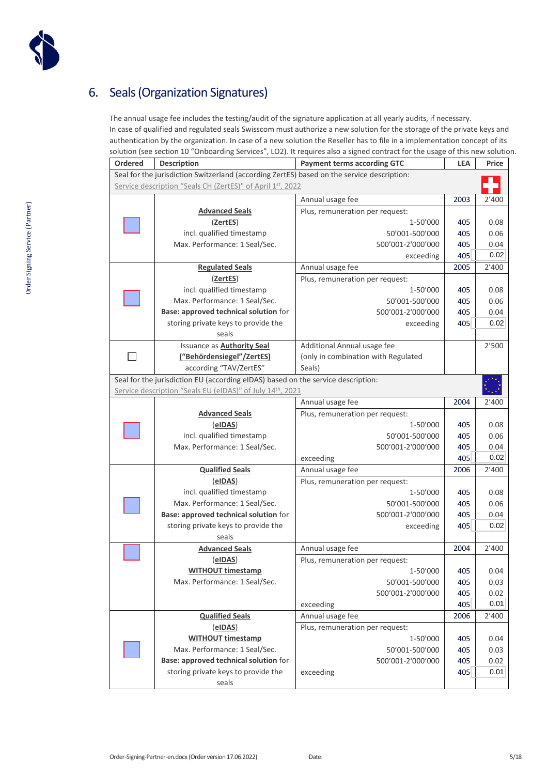

## 6. Seals (Organization Signatures)

The annual usage fee includes the testing/audit of the signature application at all yearly audits, if necessary. In case of qualified and regulated seals Swisscom must authorize a new solution for the storage of the private keys and authentication by the organization. In case of a new solution the Reseller has to file in a implementation concept of its solution (see section 10 "Onboarding Services", LO2). It requires also a signed contract for the usage of this new solution.

| <b>Ordered</b> | <b>Description</b>                                                                         | <b>Payment terms according GTC</b>  |      | Price |
|----------------|--------------------------------------------------------------------------------------------|-------------------------------------|------|-------|
|                | Seal for the jurisdiction Switzerland (according ZertES) based on the service description: |                                     |      |       |
|                | Service description "Seals CH (ZertES)" of April 1st, 2022                                 |                                     |      |       |
|                |                                                                                            | Annual usage fee                    | 2003 | 2'400 |
|                | <b>Advanced Seals</b>                                                                      | Plus, remuneration per request:     |      |       |
|                | (ZertES)                                                                                   | 1-50'000                            | 405  | 0.08  |
|                | incl. qualified timestamp                                                                  | 50'001-500'000                      | 405  | 0.06  |
|                | Max. Performance: 1 Seal/Sec.                                                              | 500'001-2'000'000                   | 405  | 0.04  |
|                |                                                                                            | exceeding                           | 405  | 0.02  |
|                | <b>Regulated Seals</b>                                                                     | Annual usage fee                    | 2005 | 2'400 |
|                | (ZertES)                                                                                   | Plus, remuneration per request:     |      |       |
|                | incl. qualified timestamp                                                                  | 1-50'000                            | 405  | 0.08  |
|                | Max. Performance: 1 Seal/Sec.                                                              | 50'001-500'000                      | 405  | 0.06  |
|                | Base: approved technical solution for                                                      | 500'001-2'000'000                   | 405  | 0.04  |
|                | storing private keys to provide the                                                        | exceeding                           | 405  | 0.02  |
|                | seals                                                                                      |                                     |      |       |
|                | <b>Issuance as Authority Seal</b>                                                          | Additional Annual usage fee         |      | 2'500 |
|                | ("Behördensiegel"/ZertES)                                                                  | (only in combination with Regulated |      |       |
|                | according "TAV/ZertES"                                                                     | Seals)                              |      |       |
|                | Seal for the jurisdiction EU (according eIDAS) based on the service description:           |                                     |      |       |
|                | Service description "Seals EU (eIDAS)" of July 14th, 2021                                  |                                     |      |       |
|                |                                                                                            | Annual usage fee                    | 2004 | 2'400 |
|                | <b>Advanced Seals</b>                                                                      | Plus, remuneration per request:     |      |       |
|                | (eIDAS)                                                                                    | 1-50'000                            | 405  | 0.08  |
|                | incl. qualified timestamp                                                                  | 50'001-500'000                      | 405  | 0.06  |
|                | Max. Performance: 1 Seal/Sec.                                                              | 500'001-2'000'000                   | 405  | 0.04  |
|                |                                                                                            | exceeding                           | 405  | 0.02  |
|                | <b>Qualified Seals</b>                                                                     | Annual usage fee                    | 2006 | 2'400 |
|                | (eIDAS)                                                                                    | Plus, remuneration per request:     |      |       |
|                | incl. qualified timestamp                                                                  | 1-50'000                            | 405  | 0.08  |
|                | Max. Performance: 1 Seal/Sec.                                                              | 50'001-500'000                      | 405  | 0.06  |
|                | Base: approved technical solution for                                                      | 500'001-2'000'000                   | 405  | 0.04  |
|                | storing private keys to provide the                                                        | exceeding                           | 405  | 0.02  |
|                | seals                                                                                      |                                     |      |       |
|                | <b>Advanced Seals</b>                                                                      | Annual usage fee                    | 2004 | 2'400 |
|                | (elDAS)                                                                                    | Plus, remuneration per request:     |      |       |
|                | <u>WITHOUT timestamp</u>                                                                   | 1-50'000                            | 405  | 0.04  |
|                | Max. Performance: 1 Seal/Sec.                                                              | 50'001-500'000                      | 405  | 0.03  |
|                |                                                                                            | 500'001-2'000'000                   | 405  | 0.02  |
|                |                                                                                            | exceeding                           | 405  | 0.01  |
|                | <b>Qualified Seals</b>                                                                     | Annual usage fee                    | 2006 | 2'400 |
|                | (eIDAS)                                                                                    | Plus, remuneration per request:     |      |       |
|                | <b>WITHOUT timestamp</b>                                                                   | 1-50'000                            | 405  | 0.04  |
|                | Max. Performance: 1 Seal/Sec.                                                              | 50'001-500'000                      | 405  | 0.03  |
|                | Base: approved technical solution for                                                      | 500'001-2'000'000                   | 405  | 0.02  |
|                | storing private keys to provide the                                                        | exceeding                           | 405  | 0.01  |
|                | seals                                                                                      |                                     |      |       |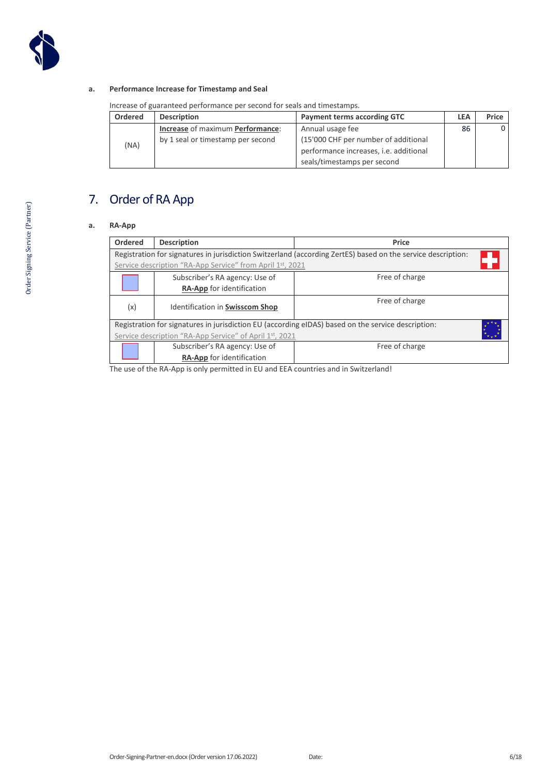

#### **a. Performance Increase for Timestamp and Seal**

Increase of guaranteed performance per second for seals and timestamps.

| <b>Ordered</b> | <b>Description</b>                | <b>Payment terms according GTC</b>     | <b>LEA</b> | Price |
|----------------|-----------------------------------|----------------------------------------|------------|-------|
| (NA)           | Increase of maximum Performance:  | Annual usage fee                       | 86         | 0     |
|                | by 1 seal or timestamp per second | (15'000 CHF per number of additional   |            |       |
|                |                                   | performance increases, i.e. additional |            |       |
|                |                                   | seals/timestamps per second            |            |       |

## 7. Order of RA App

#### **a. RA-App**

| Ordered                                                 | <b>Description</b>                                                     | Price                                                                                                        |  |  |  |
|---------------------------------------------------------|------------------------------------------------------------------------|--------------------------------------------------------------------------------------------------------------|--|--|--|
|                                                         |                                                                        | Registration for signatures in jurisdiction Switzerland (according ZertES) based on the service description: |  |  |  |
|                                                         | Service description "RA-App Service" from April 1 <sup>st</sup> , 2021 |                                                                                                              |  |  |  |
|                                                         | Subscriber's RA agency: Use of                                         | Free of charge                                                                                               |  |  |  |
|                                                         | RA-App for identification                                              |                                                                                                              |  |  |  |
| (x)                                                     | Free of charge<br>Identification in Swisscom Shop                      |                                                                                                              |  |  |  |
|                                                         |                                                                        | Registration for signatures in jurisdiction EU (according eIDAS) based on the service description:           |  |  |  |
| Service description "RA-App Service" of April 1st, 2021 |                                                                        |                                                                                                              |  |  |  |
|                                                         | Subscriber's RA agency: Use of                                         | Free of charge                                                                                               |  |  |  |
|                                                         | <b>RA-App</b> for identification                                       |                                                                                                              |  |  |  |
|                                                         |                                                                        |                                                                                                              |  |  |  |

The use of the RA-App is only permitted in EU and EEA countries and in Switzerland!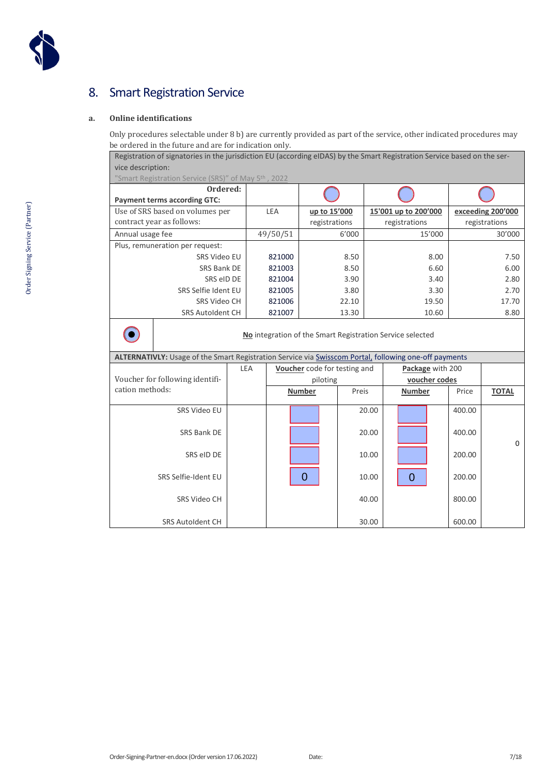

## 8. Smart Registration Service

#### **a. Online identifications**

Only procedures selectable under 8 b) are currently provided as part of the service, other indicated procedures may be ordered in the future and are for indication only.

Registration of signatories in the jurisdiction EU (according eIDAS) by the Smart Registration Service based on the service description:

["Smart Registration Service \(SRS\)" of](https://documents.swisscom.com/product/filestore/lib/c280abdd-230b-4a0f-93a4-0e02fac080cc/lb_srs-en.pdf?idxme=pex-search) May 5th , 2022

| ---------                                                    |          |                               |                                       |                                    |  |
|--------------------------------------------------------------|----------|-------------------------------|---------------------------------------|------------------------------------|--|
| Ordered:<br><b>Payment terms according GTC:</b>              |          |                               |                                       |                                    |  |
| Use of SRS based on volumes per<br>contract year as follows: | LEA      | up to 15'000<br>registrations | 15'001 up to 200'000<br>registrations | exceeding 200'000<br>registrations |  |
| Annual usage fee                                             | 49/50/51 | 6'000                         | 15'000                                | 30'000                             |  |
| Plus, remuneration per request:                              |          |                               |                                       |                                    |  |
| SRS Video EU                                                 | 821000   | 8.50                          | 8.00                                  | 7.50                               |  |
| SRS Bank DE                                                  | 821003   | 8.50                          | 6.60                                  | 6.00                               |  |
| SRS eID DE                                                   | 821004   | 3.90                          | 3.40                                  | 2.80                               |  |
| SRS Selfie Ident EU                                          | 821005   | 3.80                          | 3.30                                  | 2.70                               |  |
| SRS Video CH                                                 | 821006   | 22.10                         | 19.50                                 | 17.70                              |  |
| <b>SRS Autoldent CH</b>                                      | 821007   | 13.30                         | 10.60                                 | 8.80                               |  |
|                                                              |          |                               |                                       |                                    |  |

**No** integration of the Smart Registration Service selected

| ALTERNATIVLY: Usage of the Smart Registration Service via Swisscom Portal, following one-off payments |  |  |  |
|-------------------------------------------------------------------------------------------------------|--|--|--|
|                                                                                                       |  |  |  |

|                                 |     |                                                  |       | .             |        |              |
|---------------------------------|-----|--------------------------------------------------|-------|---------------|--------|--------------|
|                                 | LEA | Voucher code for testing and<br>Package with 200 |       |               |        |              |
| Voucher for following identifi- |     | piloting                                         |       | voucher codes |        |              |
| cation methods:                 |     | <b>Number</b>                                    | Preis | <b>Number</b> | Price  | <b>TOTAL</b> |
|                                 |     |                                                  |       |               |        |              |
| SRS Video EU                    |     |                                                  | 20.00 |               | 400.00 |              |
|                                 |     |                                                  |       |               |        |              |
| SRS Bank DE                     |     |                                                  | 20.00 |               | 400.00 |              |
|                                 |     |                                                  |       |               |        | $\mathbf 0$  |
| SRS eID DE                      |     |                                                  | 10.00 |               | 200.00 |              |
|                                 |     |                                                  |       |               |        |              |
| SRS Selfie-Ident EU             |     |                                                  | 10.00 | $\Omega$      | 200.00 |              |
|                                 |     |                                                  |       |               |        |              |
| SRS Video CH                    |     |                                                  | 40.00 |               | 800.00 |              |
|                                 |     |                                                  |       |               |        |              |
| <b>SRS Autoldent CH</b>         |     |                                                  | 30.00 |               | 600.00 |              |
|                                 |     |                                                  |       |               |        |              |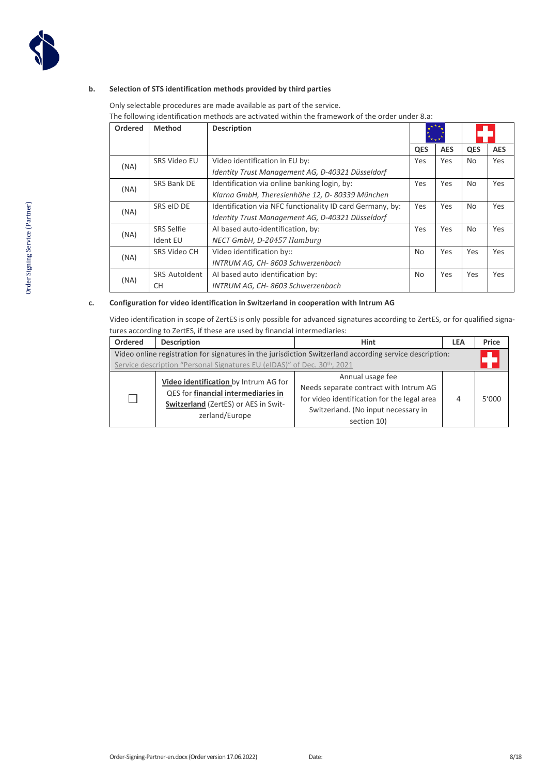

#### **b. Selection of STS identification methods provided by third parties**

Only selectable procedures are made available as part of the service.

The following identification methods are activated within the framework of the order under 8.a:

| Ordered | <b>Method</b>        | <b>Description</b>                                        | '∗÷*       |            |                |            |
|---------|----------------------|-----------------------------------------------------------|------------|------------|----------------|------------|
|         |                      |                                                           | <b>QES</b> | <b>AES</b> | <b>QES</b>     | <b>AES</b> |
| (NA)    | SRS Video EU         | Video identification in EU by:                            | Yes        | Yes        | No             | Yes        |
|         |                      | Identity Trust Management AG, D-40321 Düsseldorf          |            |            |                |            |
| (NA)    | SRS Bank DE          | Identification via online banking login, by:              | Yes        | Yes        | N <sub>o</sub> | Yes        |
|         |                      | Klarna GmbH, Theresienhöhe 12, D-80339 München            |            |            |                |            |
| (NA)    | SRS eID DE           | Identification via NFC functionality ID card Germany, by: | Yes        | Yes        | N <sub>o</sub> | Yes        |
|         |                      | Identity Trust Management AG, D-40321 Düsseldorf          |            |            |                |            |
| (NA)    | <b>SRS Selfie</b>    | AI based auto-identification, by:                         | <b>Yes</b> | Yes        | N <sub>o</sub> | <b>Yes</b> |
|         | Ident EU             | NECT GmbH, D-20457 Hamburg                                |            |            |                |            |
|         | SRS Video CH         | Video identification by::                                 | No         | Yes        | Yes            | Yes        |
| (NA)    |                      | INTRUM AG, CH-8603 Schwerzenbach                          |            |            |                |            |
|         | <b>SRS Autoldent</b> | Al based auto identification by:                          | No         | Yes        | Yes            | Yes        |
| (NA)    | СH                   | INTRUM AG, CH-8603 Schwerzenbach                          |            |            |                |            |

#### **c. Configuration for video identification in Switzerland in cooperation with Intrum AG**

Video identification in scope of ZertES is only possible for advanced signatures according to ZertES, or for qualified signatures according to ZertES, if these are used by financial intermediaries:

| Ordered                                                                                                                                                                            | <b>Description</b>                                                                                                                     | <b>Hint</b>                                                                                                                                                     | <b>LEA</b> | Price |
|------------------------------------------------------------------------------------------------------------------------------------------------------------------------------------|----------------------------------------------------------------------------------------------------------------------------------------|-----------------------------------------------------------------------------------------------------------------------------------------------------------------|------------|-------|
| Video online registration for signatures in the jurisdiction Switzerland according service description:<br>Service description "Personal Signatures EU (eIDAS)" of Dec. 30th, 2021 |                                                                                                                                        |                                                                                                                                                                 |            |       |
| $\mathbf{I}$                                                                                                                                                                       | Video identification by Intrum AG for<br>QES for financial intermediaries in<br>Switzerland (ZertES) or AES in Swit-<br>zerland/Europe | Annual usage fee<br>Needs separate contract with Intrum AG<br>for video identification for the legal area<br>Switzerland. (No input necessary in<br>section 10) | 4          | 5'000 |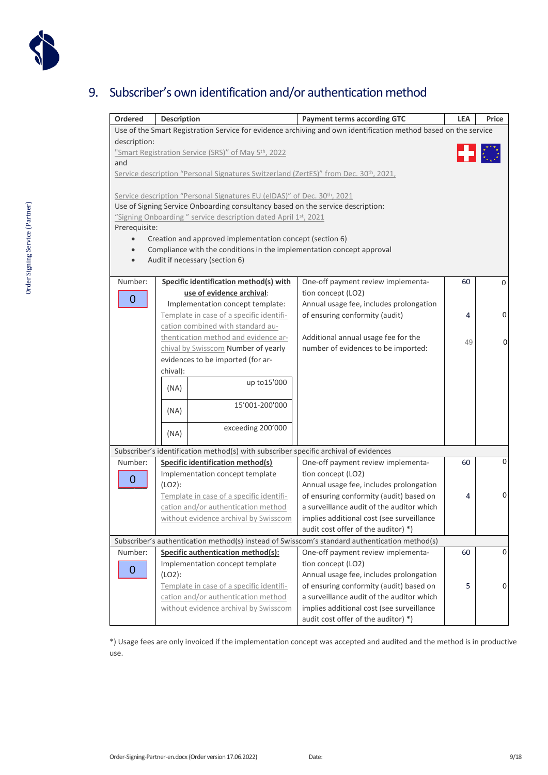

## 9. Subscriber's own identification and/or authentication method

| Ordered                                                                                                                         |                                                                                                   |                                                                           | <b>LEA</b> | Price |
|---------------------------------------------------------------------------------------------------------------------------------|---------------------------------------------------------------------------------------------------|---------------------------------------------------------------------------|------------|-------|
|                                                                                                                                 | Description                                                                                       | <b>Payment terms according GTC</b>                                        |            |       |
| Use of the Smart Registration Service for evidence archiving and own identification method based on the service<br>description: |                                                                                                   |                                                                           |            |       |
|                                                                                                                                 | "Smart Registration Service (SRS)" of May 5 <sup>th</sup> , 2022                                  |                                                                           |            |       |
| and                                                                                                                             |                                                                                                   |                                                                           |            |       |
|                                                                                                                                 | Service description "Personal Signatures Switzerland (ZertES)" from Dec. 30 <sup>th</sup> , 2021, |                                                                           |            |       |
|                                                                                                                                 |                                                                                                   |                                                                           |            |       |
|                                                                                                                                 | Service description "Personal Signatures EU (eIDAS)" of Dec. 30 <sup>th</sup> , 2021              |                                                                           |            |       |
|                                                                                                                                 | Use of Signing Service Onboarding consultancy based on the service description:                   |                                                                           |            |       |
|                                                                                                                                 | "Signing Onboarding" service description dated April 1st, 2021                                    |                                                                           |            |       |
| Prerequisite:                                                                                                                   |                                                                                                   |                                                                           |            |       |
| $\bullet$                                                                                                                       | Creation and approved implementation concept (section 6)                                          |                                                                           |            |       |
|                                                                                                                                 | Compliance with the conditions in the implementation concept approval                             |                                                                           |            |       |
|                                                                                                                                 | Audit if necessary (section 6)                                                                    |                                                                           |            |       |
|                                                                                                                                 |                                                                                                   |                                                                           |            |       |
| Number:                                                                                                                         | Specific identification method(s) with                                                            | One-off payment review implementa-                                        | 60         | 0     |
| 0                                                                                                                               | use of evidence archival:                                                                         | tion concept (LO2)                                                        |            |       |
|                                                                                                                                 | Implementation concept template:<br>Template in case of a specific identifi-                      | Annual usage fee, includes prolongation<br>of ensuring conformity (audit) | 4          | 0     |
|                                                                                                                                 | cation combined with standard au-                                                                 |                                                                           |            |       |
|                                                                                                                                 | thentication method and evidence ar-                                                              | Additional annual usage fee for the                                       |            |       |
|                                                                                                                                 | chival by Swisscom Number of yearly                                                               | number of evidences to be imported:                                       | 49         | 0     |
|                                                                                                                                 | evidences to be imported (for ar-                                                                 |                                                                           |            |       |
|                                                                                                                                 | chival):                                                                                          |                                                                           |            |       |
|                                                                                                                                 | up to 15'000                                                                                      |                                                                           |            |       |
|                                                                                                                                 | (NA)                                                                                              |                                                                           |            |       |
|                                                                                                                                 | 15'001-200'000                                                                                    |                                                                           |            |       |
|                                                                                                                                 | (NA)                                                                                              |                                                                           |            |       |
|                                                                                                                                 | exceeding 200'000                                                                                 |                                                                           |            |       |
|                                                                                                                                 | (NA)                                                                                              |                                                                           |            |       |
|                                                                                                                                 | Subscriber's identification method(s) with subscriber specific archival of evidences              |                                                                           |            |       |
| Number:                                                                                                                         | <b>Specific identification method(s)</b>                                                          | One-off payment review implementa-                                        | 60         | 0     |
| 0                                                                                                                               | Implementation concept template                                                                   | tion concept (LO2)                                                        |            |       |
|                                                                                                                                 | (LO2):                                                                                            | Annual usage fee, includes prolongation                                   |            |       |
|                                                                                                                                 | Template in case of a specific identifi-                                                          | of ensuring conformity (audit) based on                                   | 4          | 0     |
|                                                                                                                                 | cation and/or authentication method                                                               | a surveillance audit of the auditor which                                 |            |       |
|                                                                                                                                 | without evidence archival by Swisscom                                                             | implies additional cost (see surveillance                                 |            |       |
|                                                                                                                                 |                                                                                                   | audit cost offer of the auditor) *)                                       |            |       |
| Subscriber's authentication method(s) instead of Swisscom's standard authentication method(s)                                   |                                                                                                   |                                                                           |            |       |
| Number:                                                                                                                         | Specific authentication method(s):                                                                | One-off payment review implementa-                                        | 60         | 0     |
| 0                                                                                                                               | Implementation concept template                                                                   | tion concept (LO2)                                                        |            |       |
|                                                                                                                                 | (LO2):                                                                                            | Annual usage fee, includes prolongation                                   |            |       |
|                                                                                                                                 | Template in case of a specific identifi-                                                          | of ensuring conformity (audit) based on                                   | 5.         | 0     |
|                                                                                                                                 | cation and/or authentication method                                                               | a surveillance audit of the auditor which                                 |            |       |
|                                                                                                                                 | without evidence archival by Swisscom                                                             | implies additional cost (see surveillance                                 |            |       |
|                                                                                                                                 |                                                                                                   | audit cost offer of the auditor) *)                                       |            |       |

\*) Usage fees are only invoiced if the implementation concept was accepted and audited and the method is in productive use.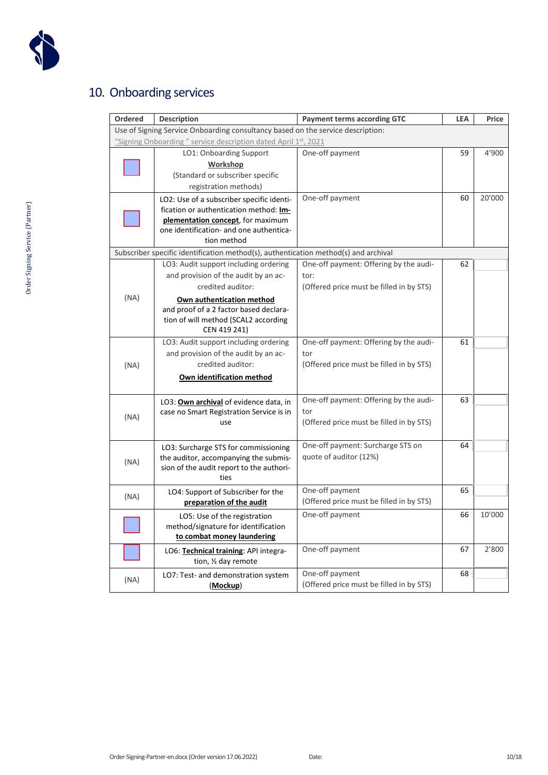

## 10. Onboarding services

| Ordered                                                                         | <b>Description</b>                                                                                                                                                                 | <b>Payment terms according GTC</b>                                                         | <b>LEA</b> | Price  |
|---------------------------------------------------------------------------------|------------------------------------------------------------------------------------------------------------------------------------------------------------------------------------|--------------------------------------------------------------------------------------------|------------|--------|
| Use of Signing Service Onboarding consultancy based on the service description: |                                                                                                                                                                                    |                                                                                            |            |        |
|                                                                                 | "Signing Onboarding" service description dated April 1st, 2021                                                                                                                     |                                                                                            |            |        |
|                                                                                 | LO1: Onboarding Support<br><b>Workshop</b><br>(Standard or subscriber specific<br>registration methods)                                                                            | One-off payment                                                                            | 59         | 4'900  |
|                                                                                 | LO2: Use of a subscriber specific identi-<br>fication or authentication method: Im-<br>plementation concept, for maximum<br>one identification- and one authentica-<br>tion method | One-off payment                                                                            | 60         | 20'000 |
|                                                                                 | Subscriber specific identification method(s), authentication method(s) and archival                                                                                                |                                                                                            |            |        |
|                                                                                 | LO3: Audit support including ordering<br>and provision of the audit by an ac-<br>credited auditor:                                                                                 | One-off payment: Offering by the audi-<br>tor:<br>(Offered price must be filled in by STS) | 62         |        |
| (NA)                                                                            | Own authentication method<br>and proof of a 2 factor based declara-<br>tion of will method (SCAL2 according<br>CEN 419 241)                                                        |                                                                                            |            |        |
| (NA)                                                                            | LO3: Audit support including ordering<br>and provision of the audit by an ac-<br>credited auditor:<br>Own identification method                                                    | One-off payment: Offering by the audi-<br>tor<br>(Offered price must be filled in by STS)  | 61         |        |
| (NA)                                                                            | LO3: Own archival of evidence data, in<br>case no Smart Registration Service is in<br>use                                                                                          | One-off payment: Offering by the audi-<br>tor<br>(Offered price must be filled in by STS)  | 63         |        |
| (NA)                                                                            | LO3: Surcharge STS for commissioning<br>the auditor, accompanying the submis-<br>sion of the audit report to the authori-<br>ties                                                  | One-off payment: Surcharge STS on<br>quote of auditor (12%)                                | 64         |        |
| (NA)                                                                            | LO4: Support of Subscriber for the<br>preparation of the audit                                                                                                                     | One-off payment<br>(Offered price must be filled in by STS)                                | 65         |        |
|                                                                                 | LO5: Use of the registration<br>method/signature for identification<br>to combat money laundering                                                                                  | One-off payment                                                                            | 66         | 10'000 |
|                                                                                 | LO6: Technical training: API integra-<br>tion, 1/2 day remote                                                                                                                      | One-off payment                                                                            | 67         | 2'800  |
| (NA)                                                                            | LO7: Test- and demonstration system<br>(Mockup)                                                                                                                                    | One-off payment<br>(Offered price must be filled in by STS)                                | 68         |        |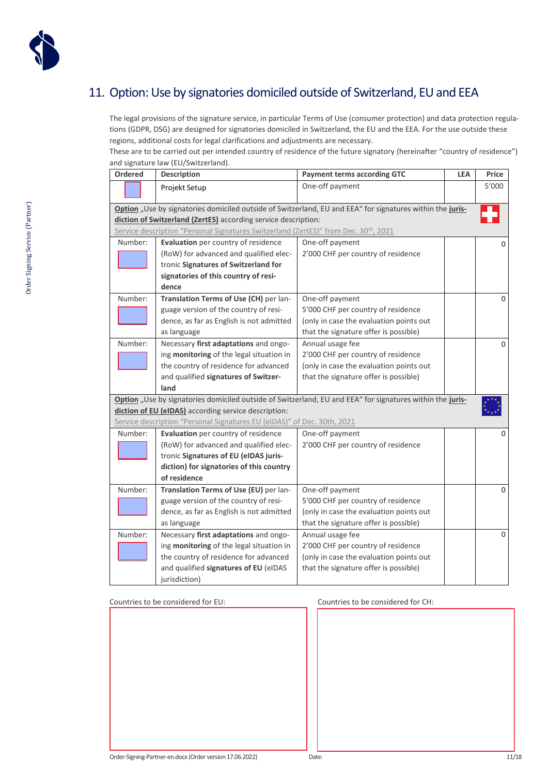

## 11. Option: Use by signatories domiciled outside of Switzerland, EU and EEA

The legal provisions of the signature service, in particular Terms of Use (consumer protection) and data protection regulations (GDPR, DSG) are designed for signatories domiciled in Switzerland, the EU and the EEA. For the use outside these regions, additional costs for legal clarifications and adjustments are necessary.

These are to be carried out per intended country of residence of the future signatory (hereinafter "country of residence") and signature law (EU/Switzerland).

| <b>Ordered</b> | <b>Description</b>                                                                  | <b>Payment terms according GTC</b>                                                                        | <b>LEA</b> | Price       |
|----------------|-------------------------------------------------------------------------------------|-----------------------------------------------------------------------------------------------------------|------------|-------------|
|                | Projekt Setup                                                                       | One-off payment                                                                                           |            | 5'000       |
|                |                                                                                     | Option "Use by signatories domiciled outside of Switzerland, EU and EEA" for signatures within the juris- |            |             |
|                | diction of Switzerland (ZertES) according service description:                      |                                                                                                           |            |             |
|                | Service description "Personal Signatures Switzerland (ZertES)" from Dec. 30th, 2021 |                                                                                                           |            |             |
| Number:        | Evaluation per country of residence                                                 | One-off payment                                                                                           |            | $\mathbf 0$ |
|                | (RoW) for advanced and qualified elec-                                              | 2'000 CHF per country of residence                                                                        |            |             |
|                | tronic Signatures of Switzerland for                                                |                                                                                                           |            |             |
|                | signatories of this country of resi-                                                |                                                                                                           |            |             |
|                | dence                                                                               |                                                                                                           |            |             |
| Number:        | Translation Terms of Use (CH) per lan-                                              | One-off payment                                                                                           |            | $\mathbf 0$ |
|                | guage version of the country of resi-                                               | 5'000 CHF per country of residence                                                                        |            |             |
|                | dence, as far as English is not admitted                                            | (only in case the evaluation points out                                                                   |            |             |
|                | as language                                                                         | that the signature offer is possible)                                                                     |            |             |
| Number:        | Necessary first adaptations and ongo-                                               | Annual usage fee                                                                                          |            | $\mathbf 0$ |
|                | ing monitoring of the legal situation in                                            | 2'000 CHF per country of residence                                                                        |            |             |
|                | the country of residence for advanced                                               | (only in case the evaluation points out                                                                   |            |             |
|                | and qualified signatures of Switzer-                                                | that the signature offer is possible)                                                                     |            |             |
|                | land                                                                                |                                                                                                           |            |             |
|                |                                                                                     | Option "Use by signatories domiciled outside of Switzerland, EU and EEA" for signatures within the juris- |            |             |
|                | diction of EU (eIDAS) according service description:                                |                                                                                                           |            |             |
|                | Service description "Personal Signatures EU (eIDAS)" of Dec. 30th, 2021             |                                                                                                           |            |             |
| Number:        | Evaluation per country of residence                                                 | One-off payment                                                                                           |            | $\mathbf 0$ |
|                | (RoW) for advanced and qualified elec-                                              | 2'000 CHF per country of residence                                                                        |            |             |
|                | tronic Signatures of EU (eIDAS juris-                                               |                                                                                                           |            |             |
|                | diction) for signatories of this country                                            |                                                                                                           |            |             |
|                | of residence                                                                        |                                                                                                           |            |             |
| Number:        | Translation Terms of Use (EU) per lan-                                              | One-off payment                                                                                           |            | $\mathbf 0$ |
|                | guage version of the country of resi-                                               | 5'000 CHF per country of residence                                                                        |            |             |
|                | dence, as far as English is not admitted                                            | (only in case the evaluation points out                                                                   |            |             |
|                | as language                                                                         | that the signature offer is possible)                                                                     |            |             |
| Number:        | Necessary first adaptations and ongo-                                               | Annual usage fee                                                                                          |            | $\mathbf 0$ |
|                | ing monitoring of the legal situation in                                            | 2'000 CHF per country of residence                                                                        |            |             |
|                | the country of residence for advanced                                               | (only in case the evaluation points out                                                                   |            |             |
|                | and qualified signatures of EU (eIDAS                                               | that the signature offer is possible)                                                                     |            |             |
|                | jurisdiction)                                                                       |                                                                                                           |            |             |

Countries to be considered for EU: Countries to be considered for CH: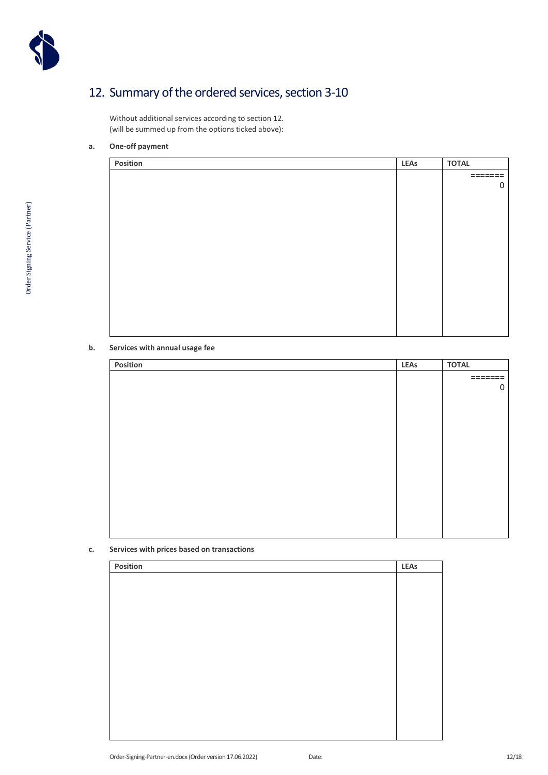

## 12. Summary of the ordered services, section 3-10

Without additional services according to section 12. (will be summed up from the options ticked above):

#### **a. One-off payment**

| Position | <b>LEAs</b> | <b>TOTAL</b>            |
|----------|-------------|-------------------------|
|          |             | $=$ $=$ $=$ $=$ $=$ $=$ |
|          |             | 0                       |
|          |             |                         |
|          |             |                         |
|          |             |                         |
|          |             |                         |
|          |             |                         |
|          |             |                         |
|          |             |                         |
|          |             |                         |
|          |             |                         |
|          |             |                         |
|          |             |                         |
|          |             |                         |

#### **b. Services with annual usage fee**

| Position | <b>LEAs</b> | <b>TOTAL</b> |
|----------|-------------|--------------|
|          |             | =======      |
|          |             | 0            |
|          |             |              |
|          |             |              |
|          |             |              |
|          |             |              |
|          |             |              |
|          |             |              |
|          |             |              |
|          |             |              |
|          |             |              |
|          |             |              |
|          |             |              |
|          |             |              |

#### **c. Services with prices based on transactions**

| Position | <b>LEAs</b> |
|----------|-------------|
|          |             |
|          |             |
|          |             |
|          |             |
|          |             |
|          |             |
|          |             |
|          |             |
|          |             |
|          |             |
|          |             |
|          |             |
|          |             |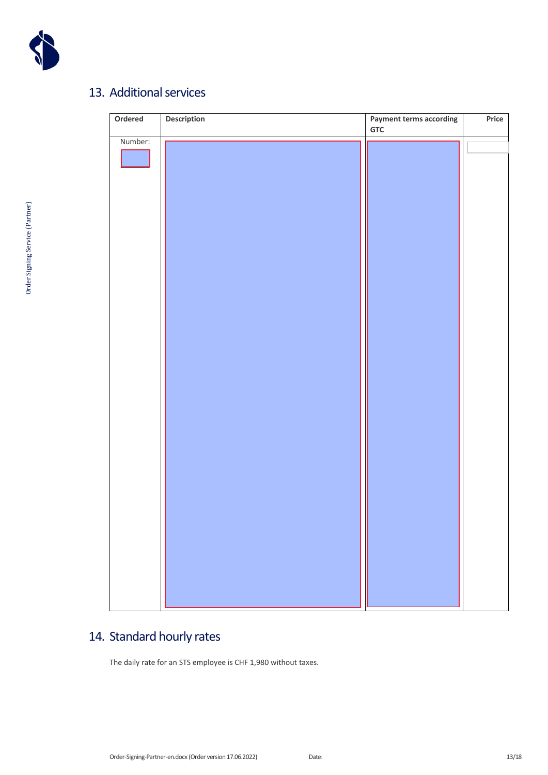

## 13. Additional services

| Ordered | Description | <b>Payment terms according</b> | Price |
|---------|-------------|--------------------------------|-------|
|         |             | <b>GTC</b>                     |       |
| Number: |             |                                |       |
|         |             |                                |       |
|         |             |                                |       |
|         |             |                                |       |
|         |             |                                |       |
|         |             |                                |       |
|         |             |                                |       |
|         |             |                                |       |
|         |             |                                |       |
|         |             |                                |       |
|         |             |                                |       |
|         |             |                                |       |
|         |             |                                |       |
|         |             |                                |       |
|         |             |                                |       |
|         |             |                                |       |
|         |             |                                |       |
|         |             |                                |       |
|         |             |                                |       |
|         |             |                                |       |
|         |             |                                |       |
|         |             |                                |       |
|         |             |                                |       |
|         |             |                                |       |
|         |             |                                |       |
|         |             |                                |       |
|         |             |                                |       |
|         |             |                                |       |
|         |             |                                |       |
|         |             |                                |       |
|         |             |                                |       |
|         |             |                                |       |
|         |             |                                |       |
|         |             |                                |       |
|         |             |                                |       |
|         |             |                                |       |
|         |             |                                |       |
|         |             |                                |       |
|         |             |                                |       |
|         |             |                                |       |
|         |             |                                |       |
|         |             |                                |       |

## 14. Standard hourly rates

The daily rate for an STS employee is CHF 1,980 without taxes.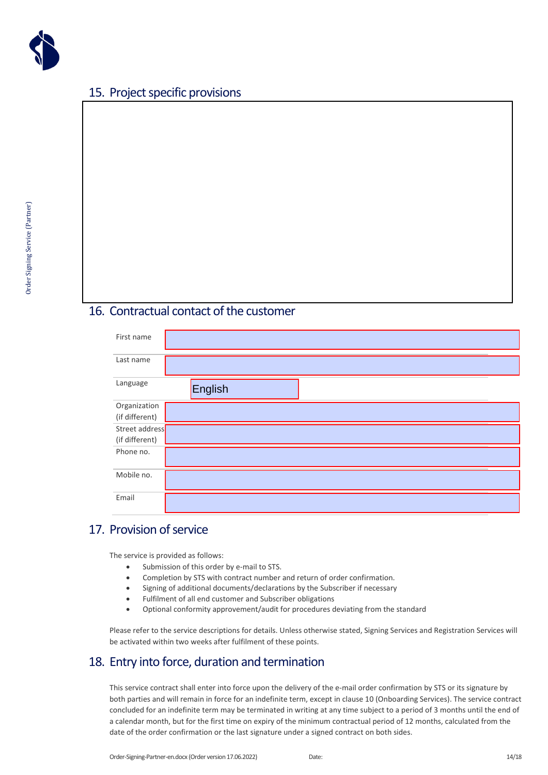

### 15. Project specific provisions



### 16. Contractual contact of the customer

| First name     |         |
|----------------|---------|
| Last name      |         |
| Language       | English |
| Organization   |         |
| (if different) |         |
| Street address |         |
| (if different) |         |
| Phone no.      |         |
| Mobile no.     |         |
| Email          |         |

### 17. Provision of service

The service is provided as follows:

- Submission of this order by e-mail to STS.
- Completion by STS with contract number and return of order confirmation.
- Signing of additional documents/declarations by the Subscriber if necessary
- Fulfilment of all end customer and Subscriber obligations
- Optional conformity approvement/audit for procedures deviating from the standard

Please refer to the service descriptions for details. Unless otherwise stated, Signing Services and Registration Services will be activated within two weeks after fulfilment of these points.

### 18. Entry into force, duration and termination

This service contract shall enter into force upon the delivery of the e-mail order confirmation by STS or its signature by both parties and will remain in force for an indefinite term, except in clause 10 (Onboarding Services). The service contract concluded for an indefinite term may be terminated in writing at any time subject to a period of 3 months until the end of a calendar month, but for the first time on expiry of the minimum contractual period of 12 months, calculated from the date of the order confirmation or the last signature under a signed contract on both sides.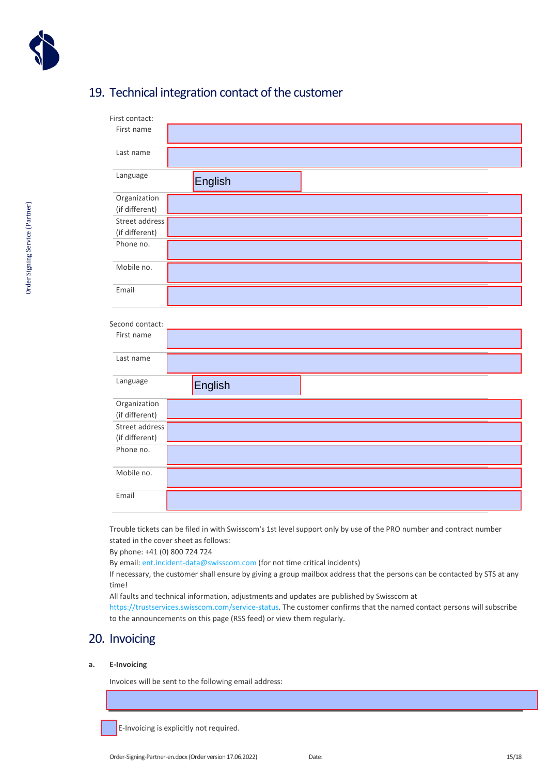

### 19. Technical integration contact of the customer

| First contact:  |         |  |
|-----------------|---------|--|
| First name      |         |  |
| Last name       |         |  |
| Language        | English |  |
| Organization    |         |  |
| (if different)  |         |  |
| Street address  |         |  |
| (if different)  |         |  |
| Phone no.       |         |  |
| Mobile no.      |         |  |
| Email           |         |  |
| Second contact: |         |  |
| First name      |         |  |
| Last name       |         |  |
| Language        | English |  |
| Organization    |         |  |
| (if different)  |         |  |
| Street address  |         |  |
| (if different)  |         |  |
| Phone no.       |         |  |
| Mobile no.      |         |  |
|                 |         |  |

Trouble tickets can be filed in with Swisscom's 1st level support only by use of the PRO number and contract number stated in the cover sheet as follows:

By phone: +41 (0) 800 724 724

By email: ent.incident-data@swisscom.com (for not time critical incidents)

If necessary, the customer shall ensure by giving a group mailbox address that the persons can be contacted by STS at any time!

All faults and technical information, adjustments and updates are published by Swisscom at

[https://trustservices.swisscom.com/service-status. The cu](https://trustservices.swisscom.com/service-status)stomer confirms that the named contact persons will subscribe to the announcements on this page (RSS feed) or view them regularly.

### 20. Invoicing

#### **a. E-Invoicing**

Invoices will be sent to the following email address:

E-Invoicing is explicitly not required.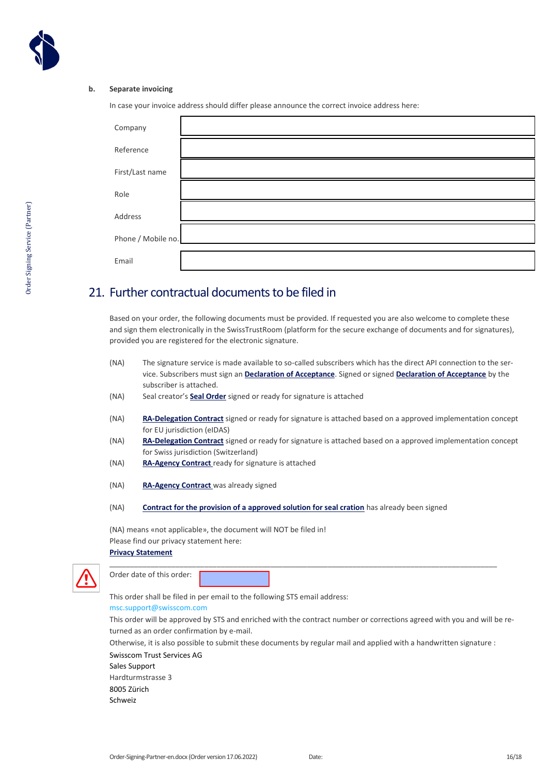

#### **b. Separate invoicing**

In case your invoice address should differ please announce the correct invoice address here:

| Company            |  |
|--------------------|--|
| Reference          |  |
| First/Last name    |  |
| Role               |  |
| Address            |  |
| Phone / Mobile no. |  |
| Email              |  |

### 21. Further contractual documents to be filed in

Based on your order, the following documents must be provided. If requested you are also welcome to complete these and sign them electronically in the SwissTrustRoom (platform for the secure exchange of documents and for signatures), provided you are registered for the electronic signature.

- (NA) [The signature service is made available to so-called subscribers which has the direct API connection to the ser](https://documents.swisscom.com/product/filestore/lib/14641956-4832-42ed-898f-ec694a451878/annahmeerkl�rung-en.pdf?idxme=pex-search)vice. Subscribers must sign an **Declaration of Acceptance**. Signed or signed **Declaration of Acceptance** by the subscriber is attached.
- (NA) Seal creator's **Seal Order** signed or ready for signature is attached
- (NA) **[RA-Delegation Contract](https://documents.swisscom.com/product/filestore/lib/d0619086-7d6b-443f-a534-420068b7a983/ra-delegationpartnerordereu-en.pdf)** signed or ready for signature is attached based on a approved implementation concept for EU jurisdiction (eIDAS)
- (NA) **[RA-Delegation Contract](https://documents.swisscom.com/product/filestore/lib/6be7a3a7-990b-4cd6-9502-3625ff60f78e/ra-delegationpartnerorderch-en.pdf)** signed or ready for signature is attached based on a approved implementation concept for Swiss jurisdiction (Switzerland)
- (NA) **[RA-Agency Contract](https://documents.swisscom.com/product/filestore/lib/ec72f774-78f5-4133-b20f-1fc6a27c1c11/ra-agency-contract-en.pdf)** ready for signature is attached
- (NA) **[RA-Agency Contract](https://documents.swisscom.com/product/filestore/lib/ec72f774-78f5-4133-b20f-1fc6a27c1c11/ra-agency-contract-en.pdf)** was already signed
- (NA) **[Contract for the provision of a approved solution for seal cration](https://documents.swisscom.com/product/filestore/lib/631a171f-5d99-47e6-9c0b-14596231a365/_template-implementationconcept_ra-enterpriseapp-en.docx)** has already been signed

(NA) means «not applicable», the document will NOT be filed in! Please find our privacy statement here: **[Privacy Statement](https://documents.swisscom.com/product/filestore/lib/d72c3108-2b6d-498d-9846-d197543c3117/privacypolicy_sts-en.pdf?idxme=pex-search)**



| Order date of this order: |  |
|---------------------------|--|
|---------------------------|--|

This order shall be filed in per email to the following STS email address:

#### [msc.support@swisscom.com](mailto:msc.support@swisscom.com)

This order will be approved by STS and enriched with the contract number or corrections agreed with you and will be returned as an order confirmation by e-mail.

Otherwise, it is also possible to submit these documents by regular mail and applied with a handwritten signature :

\_\_\_\_\_\_\_\_\_\_\_\_\_\_\_\_\_\_\_\_\_\_\_\_\_\_\_\_\_\_\_\_\_\_\_\_\_\_\_\_\_\_\_\_\_\_\_\_\_\_\_\_\_\_\_\_\_\_\_\_\_\_\_\_\_\_\_\_\_\_\_\_\_\_\_\_\_\_\_\_\_\_\_\_\_\_\_\_\_\_\_\_\_\_

Swisscom Trust Services AG

Sales Support Hardturmstrasse 3 8005 Zürich

Schweiz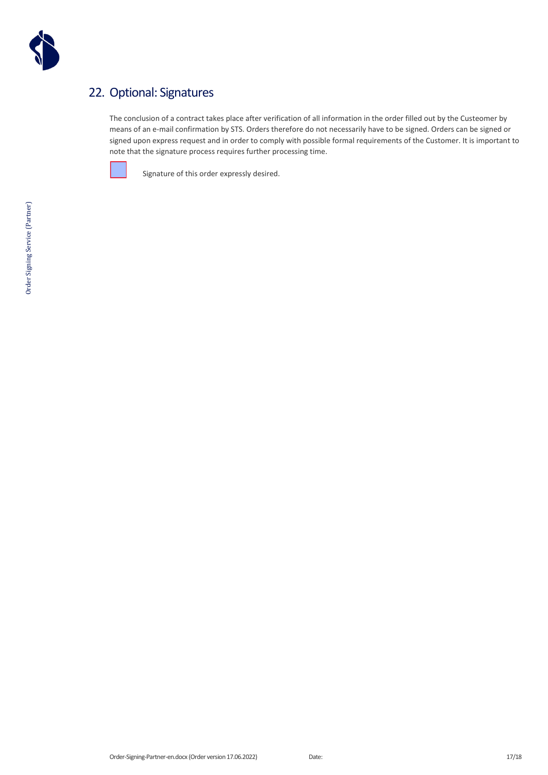

### 22. Optional: Signatures

The conclusion of a contract takes place after verification of all information in the order filled out by the Custeomer by means of an e-mail confirmation by STS. Orders therefore do not necessarily have to be signed. Orders can be signed or signed upon express request and in order to comply with possible formal requirements of the Customer. It is important to note that the signature process requires further processing time.



Signature of this order expressly desired.